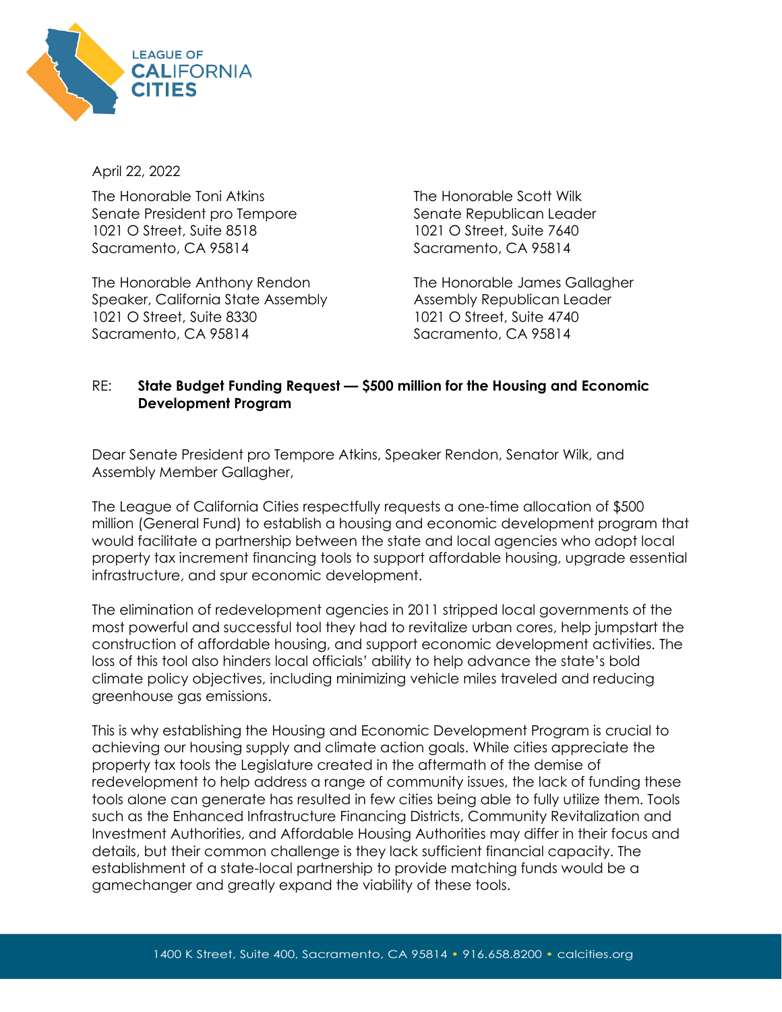

April 22, 2022

The Honorable Toni Atkins Senate President pro Tempore 1021 O Street, Suite 8518 Sacramento, CA 95814

The Honorable Anthony Rendon Speaker, California State Assembly 1021 O Street, Suite 8330 Sacramento, CA 95814

The Honorable Scott Wilk Senate Republican Leader 1021 O Street, Suite 7640 Sacramento, CA 95814

The Honorable James Gallagher Assembly Republican Leader 1021 O Street, Suite 4740 Sacramento, CA 95814

## RE: **State Budget Funding Request — \$500 million for the Housing and Economic Development Program**

Dear Senate President pro Tempore Atkins, Speaker Rendon, Senator Wilk, and Assembly Member Gallagher,

The League of California Cities respectfully requests a one-time allocation of \$500 million (General Fund) to establish a housing and economic development program that would facilitate a partnership between the state and local agencies who adopt local property tax increment financing tools to support affordable housing, upgrade essential infrastructure, and spur economic development.

The elimination of redevelopment agencies in 2011 stripped local governments of the most powerful and successful tool they had to revitalize urban cores, help jumpstart the construction of affordable housing, and support economic development activities. The loss of this tool also hinders local officials' ability to help advance the state's bold climate policy objectives, including minimizing vehicle miles traveled and reducing greenhouse gas emissions.

This is why establishing the Housing and Economic Development Program is crucial to achieving our housing supply and climate action goals. While cities appreciate the property tax tools the Legislature created in the aftermath of the demise of redevelopment to help address a range of community issues, the lack of funding these tools alone can generate has resulted in few cities being able to fully utilize them. Tools such as the Enhanced Infrastructure Financing Districts, Community Revitalization and Investment Authorities, and Affordable Housing Authorities may differ in their focus and details, but their common challenge is they lack sufficient financial capacity. The establishment of a state-local partnership to provide matching funds would be a gamechanger and greatly expand the viability of these tools.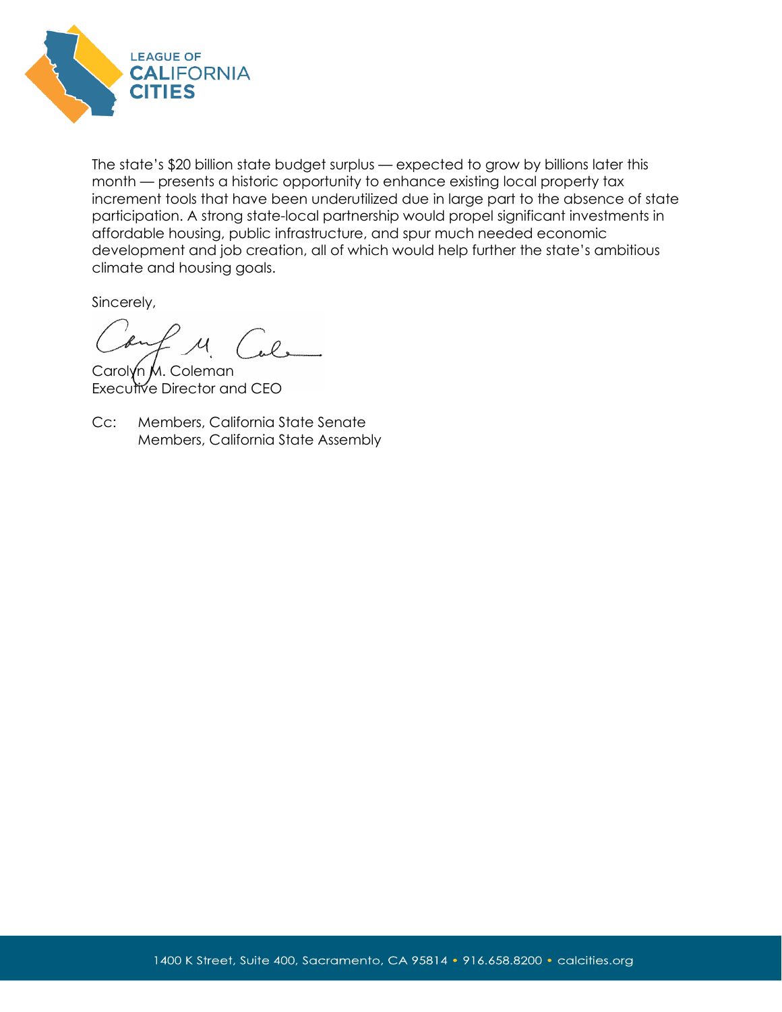

The state's \$20 billion state budget surplus — expected to grow by billions later this month — presents a historic opportunity to enhance existing local property tax increment tools that have been underutilized due in large part to the absence of state participation. A strong state-local partnership would propel significant investments in affordable housing, public infrastructure, and spur much needed economic development and job creation, all of which would help further the state's ambitious climate and housing goals.

Sincerely,

ouf M Cal.

Carolyn M. Coleman Executive Director and CEO

Cc: Members, California State Senate Members, California State Assembly